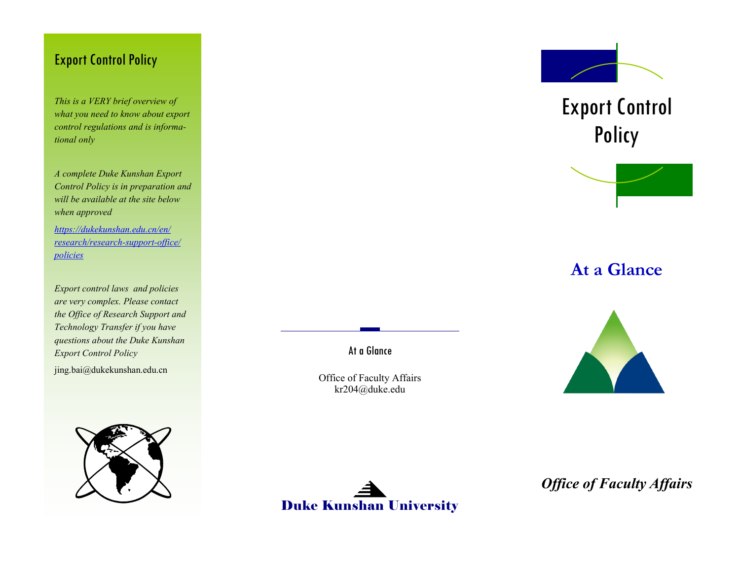#### Export Control Policy

*This is a VERY brief overview of what you need to know about export control regulations and is informational only*

*A complete Duke Kunshan Export Control Policy is in preparation and will be available at the site below when approved*

*[https://dukekunshan.edu.cn/en/](https://dukekunshan.edu.cn/en/research/research-support-office/policies) [research/research](https://dukekunshan.edu.cn/en/research/research-support-office/policies)-support-office/ [policies](https://dukekunshan.edu.cn/en/research/research-support-office/policies)*

*Export control laws and policies are very complex. Please contact the Office of Research Support and Technology Transfer if you have questions about the Duke Kunshan Export Control Policy*

jing.bai@dukekunshan.edu.cn





Office of Faculty Affairs kr204@duke.edu

At a Glance



Policy

Export Control

**At a Glance**